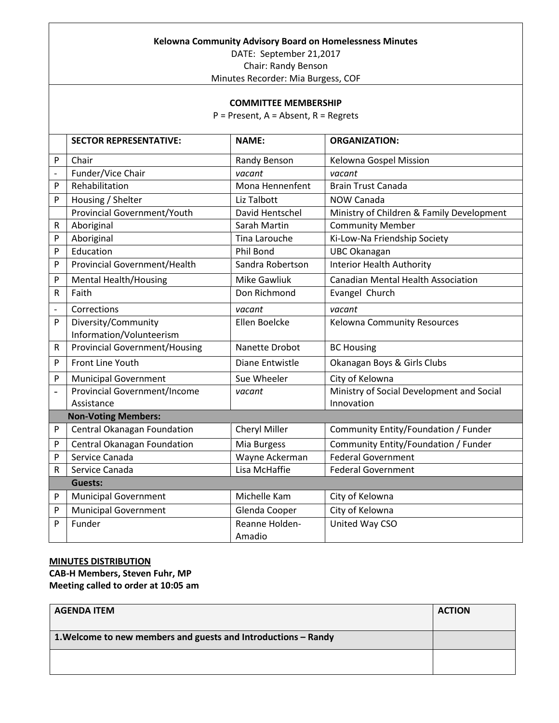|                   | Kelowna Community Advisory Board on Homelessness Minutes         |                             |                                           |  |
|-------------------|------------------------------------------------------------------|-----------------------------|-------------------------------------------|--|
|                   | DATE: September 21,2017                                          |                             |                                           |  |
|                   | Chair: Randy Benson                                              |                             |                                           |  |
|                   | Minutes Recorder: Mia Burgess, COF                               |                             |                                           |  |
|                   |                                                                  |                             |                                           |  |
|                   |                                                                  | <b>COMMITTEE MEMBERSHIP</b> |                                           |  |
|                   | $P =$ Present, A = Absent, R = Regrets                           |                             |                                           |  |
|                   | <b>SECTOR REPRESENTATIVE:</b>                                    | <b>NAME:</b>                | <b>ORGANIZATION:</b>                      |  |
| P                 | Chair                                                            | Randy Benson                | Kelowna Gospel Mission                    |  |
| $\qquad \qquad -$ | Funder/Vice Chair                                                | vacant                      | vacant                                    |  |
| P                 | Rehabilitation                                                   | Mona Hennenfent             | <b>Brain Trust Canada</b>                 |  |
| P                 | Housing / Shelter                                                | Liz Talbott                 | NOW Canada                                |  |
|                   | <b>Provincial Government/Youth</b>                               | David Hentschel             | Ministry of Children & Family Development |  |
| R                 | Aboriginal                                                       | Sarah Martin                | <b>Community Member</b>                   |  |
| P                 | Aboriginal                                                       | <b>Tina Larouche</b>        | Ki-Low-Na Friendship Society              |  |
| P                 | Education                                                        | Phil Bond                   | <b>UBC Okanagan</b>                       |  |
| P                 | Provincial Government/Health                                     | Sandra Robertson            | <b>Interior Health Authority</b>          |  |
| P                 | <b>Mental Health/Housing</b>                                     | <b>Mike Gawliuk</b>         | <b>Canadian Mental Health Association</b> |  |
| R                 | Faith                                                            | Don Richmond                | Evangel Church                            |  |
|                   | Corrections                                                      | vacant                      | vacant                                    |  |
| P                 | Diversity/Community                                              | Ellen Boelcke               | Kelowna Community Resources               |  |
| ${\sf R}$         | Information/Volunteerism<br><b>Provincial Government/Housing</b> | Nanette Drobot              | <b>BC Housing</b>                         |  |
|                   | Front Line Youth                                                 |                             |                                           |  |
| P                 |                                                                  | Diane Entwistle             | Okanagan Boys & Girls Clubs               |  |
| P                 | <b>Municipal Government</b>                                      | Sue Wheeler                 | City of Kelowna                           |  |
|                   | <b>Provincial Government/Income</b>                              | vacant                      | Ministry of Social Development and Social |  |
|                   | Assistance                                                       |                             | Innovation                                |  |
|                   | <b>Non-Voting Members:</b>                                       |                             |                                           |  |
| P                 | Central Okanagan Foundation                                      | Cheryl Miller               | Community Entity/Foundation / Funder      |  |
| P                 | Central Okanagan Foundation                                      | Mia Burgess                 | Community Entity/Foundation / Funder      |  |
| $\mathsf{P}$      | Service Canada                                                   | Wayne Ackerman              | <b>Federal Government</b>                 |  |
| R                 | Service Canada                                                   | Lisa McHaffie               | <b>Federal Government</b>                 |  |
|                   | <b>Guests:</b>                                                   |                             |                                           |  |
| $\mathsf{P}$      | <b>Municipal Government</b>                                      | Michelle Kam                | City of Kelowna                           |  |
| P                 | <b>Municipal Government</b>                                      | Glenda Cooper               | City of Kelowna                           |  |
| P                 | Funder                                                           | Reanne Holden-<br>Amadio    | United Way CSO                            |  |

## **MINUTES DISTRIBUTION CAB-H Members, Steven Fuhr, MP Meeting called to order at 10:05 am**

| <b>AGENDA ITEM</b>                                             | <b>ACTION</b> |
|----------------------------------------------------------------|---------------|
| 1. Welcome to new members and guests and Introductions - Randy |               |
|                                                                |               |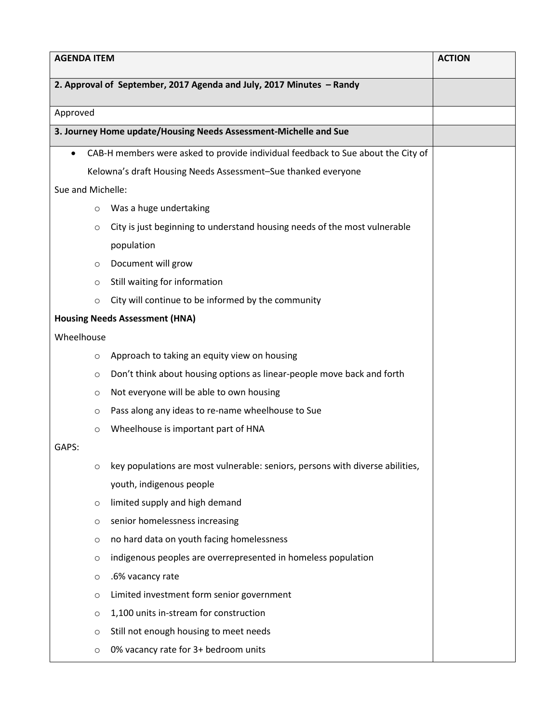| <b>AGENDA ITEM</b> |                                                                                  | <b>ACTION</b> |
|--------------------|----------------------------------------------------------------------------------|---------------|
|                    | 2. Approval of September, 2017 Agenda and July, 2017 Minutes - Randy             |               |
| Approved           |                                                                                  |               |
|                    | 3. Journey Home update/Housing Needs Assessment-Michelle and Sue                 |               |
|                    | CAB-H members were asked to provide individual feedback to Sue about the City of |               |
|                    | Kelowna's draft Housing Needs Assessment-Sue thanked everyone                    |               |
| Sue and Michelle:  |                                                                                  |               |
| $\circ$            | Was a huge undertaking                                                           |               |
| $\circ$            | City is just beginning to understand housing needs of the most vulnerable        |               |
|                    | population                                                                       |               |
| $\circ$            | Document will grow                                                               |               |
| $\circ$            | Still waiting for information                                                    |               |
| $\circ$            | City will continue to be informed by the community                               |               |
|                    | <b>Housing Needs Assessment (HNA)</b>                                            |               |
| Wheelhouse         |                                                                                  |               |
| O                  | Approach to taking an equity view on housing                                     |               |
| O                  | Don't think about housing options as linear-people move back and forth           |               |
| $\circ$            | Not everyone will be able to own housing                                         |               |
| O                  | Pass along any ideas to re-name wheelhouse to Sue                                |               |
| $\circ$            | Wheelhouse is important part of HNA                                              |               |
| GAPS:              |                                                                                  |               |
| O                  | key populations are most vulnerable: seniors, persons with diverse abilities,    |               |
|                    | youth, indigenous people                                                         |               |
| O                  | limited supply and high demand                                                   |               |
| $\circ$            | senior homelessness increasing                                                   |               |
| $\circ$            | no hard data on youth facing homelessness                                        |               |
| $\circ$            | indigenous peoples are overrepresented in homeless population                    |               |
| $\circ$            | .6% vacancy rate                                                                 |               |
| $\circ$            | Limited investment form senior government                                        |               |
| O                  | 1,100 units in-stream for construction                                           |               |
| $\circ$            | Still not enough housing to meet needs                                           |               |
| O                  | 0% vacancy rate for 3+ bedroom units                                             |               |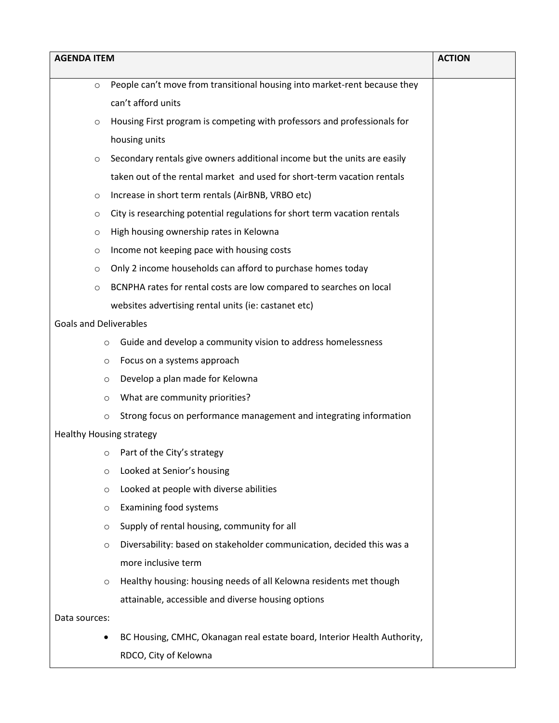| <b>AGENDA ITEM</b>                                                                   | <b>ACTION</b> |
|--------------------------------------------------------------------------------------|---------------|
| People can't move from transitional housing into market-rent because they<br>$\circ$ |               |
| can't afford units                                                                   |               |
| Housing First program is competing with professors and professionals for<br>$\circ$  |               |
| housing units                                                                        |               |
| Secondary rentals give owners additional income but the units are easily<br>$\circ$  |               |
| taken out of the rental market and used for short-term vacation rentals              |               |
| Increase in short term rentals (AirBNB, VRBO etc)<br>$\circ$                         |               |
| City is researching potential regulations for short term vacation rentals<br>$\circ$ |               |
| High housing ownership rates in Kelowna<br>$\circ$                                   |               |
| Income not keeping pace with housing costs<br>$\circ$                                |               |
| Only 2 income households can afford to purchase homes today<br>$\circ$               |               |
| BCNPHA rates for rental costs are low compared to searches on local<br>$\circ$       |               |
| websites advertising rental units (ie: castanet etc)                                 |               |
| <b>Goals and Deliverables</b>                                                        |               |
| Guide and develop a community vision to address homelessness<br>$\circ$              |               |
| Focus on a systems approach<br>O                                                     |               |
| Develop a plan made for Kelowna<br>O                                                 |               |
| What are community priorities?<br>O                                                  |               |
| Strong focus on performance management and integrating information<br>$\circ$        |               |
| <b>Healthy Housing strategy</b>                                                      |               |
| Part of the City's strategy<br>O                                                     |               |
| Looked at Senior's housing<br>$\circ$                                                |               |
| Looked at people with diverse abilities<br>O                                         |               |
| Examining food systems<br>$\circ$                                                    |               |
| Supply of rental housing, community for all<br>$\circ$                               |               |
| Diversability: based on stakeholder communication, decided this was a<br>$\circ$     |               |
| more inclusive term                                                                  |               |
| Healthy housing: housing needs of all Kelowna residents met though<br>$\circ$        |               |
| attainable, accessible and diverse housing options                                   |               |
| Data sources:                                                                        |               |
| BC Housing, CMHC, Okanagan real estate board, Interior Health Authority,<br>٠        |               |
| RDCO, City of Kelowna                                                                |               |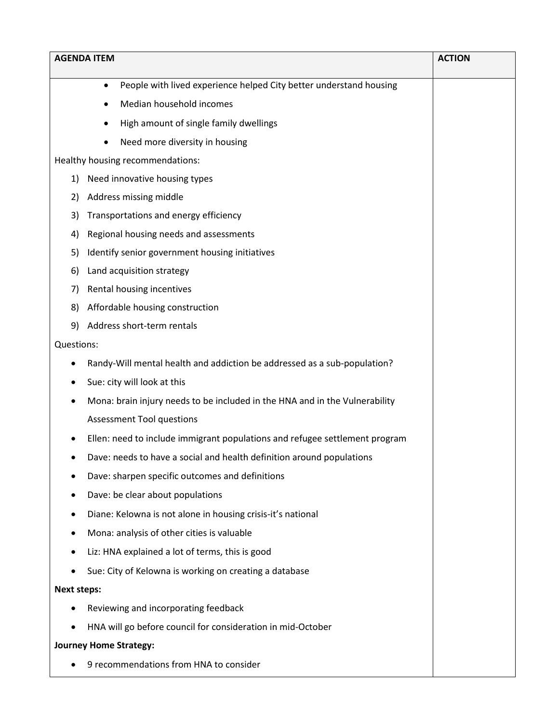|                    | <b>AGENDA ITEM</b>                                                              | <b>ACTION</b> |
|--------------------|---------------------------------------------------------------------------------|---------------|
|                    | People with lived experience helped City better understand housing<br>$\bullet$ |               |
|                    | Median household incomes                                                        |               |
|                    | High amount of single family dwellings                                          |               |
|                    | Need more diversity in housing<br>٠                                             |               |
|                    | Healthy housing recommendations:                                                |               |
| 1)                 | Need innovative housing types                                                   |               |
| 2)                 | Address missing middle                                                          |               |
| 3)                 | Transportations and energy efficiency                                           |               |
| 4)                 | Regional housing needs and assessments                                          |               |
| 5)                 | Identify senior government housing initiatives                                  |               |
| 6)                 | Land acquisition strategy                                                       |               |
| 7)                 | Rental housing incentives                                                       |               |
| 8)                 | Affordable housing construction                                                 |               |
| 9)                 | Address short-term rentals                                                      |               |
| Questions:         |                                                                                 |               |
|                    | Randy-Will mental health and addiction be addressed as a sub-population?        |               |
|                    | Sue: city will look at this                                                     |               |
|                    | Mona: brain injury needs to be included in the HNA and in the Vulnerability     |               |
|                    | <b>Assessment Tool questions</b>                                                |               |
|                    | Ellen: need to include immigrant populations and refugee settlement program     |               |
|                    | Dave: needs to have a social and health definition around populations           |               |
|                    | Dave: sharpen specific outcomes and definitions                                 |               |
|                    | Dave: be clear about populations                                                |               |
|                    | Diane: Kelowna is not alone in housing crisis-it's national                     |               |
|                    | Mona: analysis of other cities is valuable                                      |               |
|                    | Liz: HNA explained a lot of terms, this is good                                 |               |
|                    | Sue: City of Kelowna is working on creating a database                          |               |
| <b>Next steps:</b> |                                                                                 |               |
|                    | Reviewing and incorporating feedback                                            |               |
|                    | HNA will go before council for consideration in mid-October                     |               |
|                    | <b>Journey Home Strategy:</b>                                                   |               |
|                    | 9 recommendations from HNA to consider                                          |               |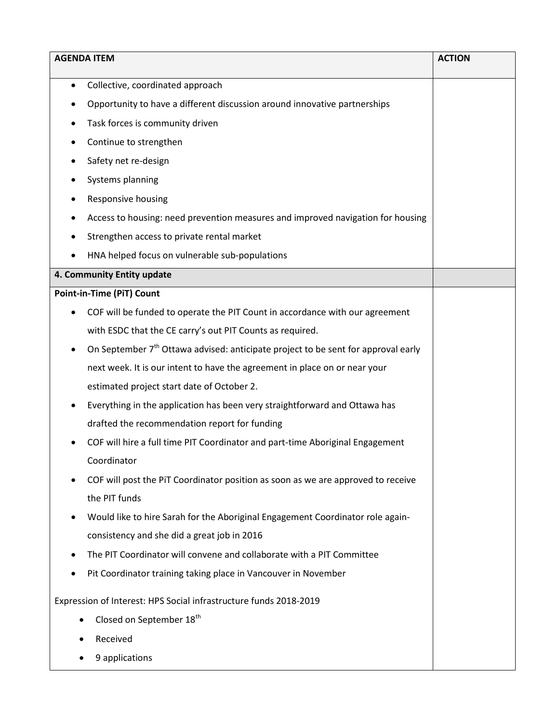| <b>AGENDA ITEM</b>                                                                                 | <b>ACTION</b> |
|----------------------------------------------------------------------------------------------------|---------------|
| Collective, coordinated approach<br>٠                                                              |               |
| Opportunity to have a different discussion around innovative partnerships                          |               |
| Task forces is community driven                                                                    |               |
| Continue to strengthen<br>٠                                                                        |               |
| Safety net re-design                                                                               |               |
| Systems planning                                                                                   |               |
| Responsive housing                                                                                 |               |
| Access to housing: need prevention measures and improved navigation for housing                    |               |
| Strengthen access to private rental market                                                         |               |
| HNA helped focus on vulnerable sub-populations                                                     |               |
| 4. Community Entity update                                                                         |               |
| <b>Point-in-Time (PiT) Count</b>                                                                   |               |
| COF will be funded to operate the PIT Count in accordance with our agreement                       |               |
| with ESDC that the CE carry's out PIT Counts as required.                                          |               |
| On September 7 <sup>th</sup> Ottawa advised: anticipate project to be sent for approval early<br>٠ |               |
| next week. It is our intent to have the agreement in place on or near your                         |               |
| estimated project start date of October 2.                                                         |               |
| Everything in the application has been very straightforward and Ottawa has                         |               |
| drafted the recommendation report for funding                                                      |               |
| COF will hire a full time PIT Coordinator and part-time Aboriginal Engagement                      |               |
| Coordinator                                                                                        |               |
| COF will post the PiT Coordinator position as soon as we are approved to receive                   |               |
| the PIT funds                                                                                      |               |
| Would like to hire Sarah for the Aboriginal Engagement Coordinator role again-                     |               |
| consistency and she did a great job in 2016                                                        |               |
| The PIT Coordinator will convene and collaborate with a PIT Committee                              |               |
| Pit Coordinator training taking place in Vancouver in November                                     |               |
| Expression of Interest: HPS Social infrastructure funds 2018-2019                                  |               |
| Closed on September 18 <sup>th</sup>                                                               |               |
| Received                                                                                           |               |
| 9 applications                                                                                     |               |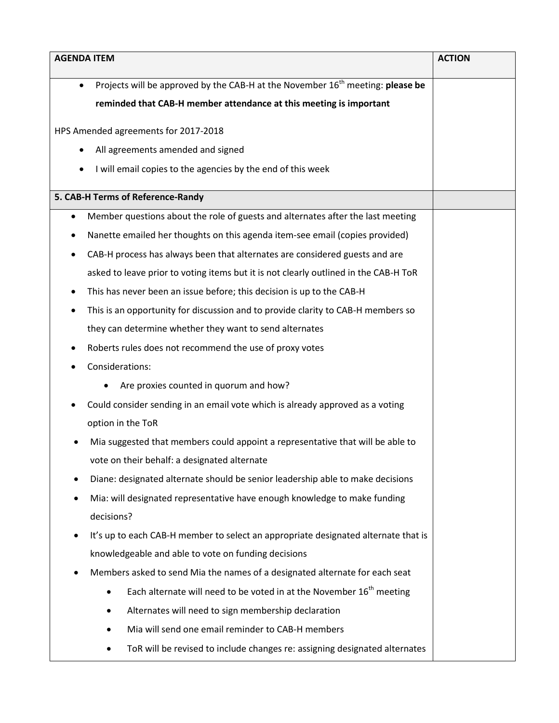| <b>AGENDA ITEM</b>                                                                                      | <b>ACTION</b> |
|---------------------------------------------------------------------------------------------------------|---------------|
| Projects will be approved by the CAB-H at the November 16 <sup>th</sup> meeting: please be<br>$\bullet$ |               |
| reminded that CAB-H member attendance at this meeting is important                                      |               |
|                                                                                                         |               |
| HPS Amended agreements for 2017-2018                                                                    |               |
| All agreements amended and signed                                                                       |               |
| I will email copies to the agencies by the end of this week                                             |               |
| 5. CAB-H Terms of Reference-Randy                                                                       |               |
| Member questions about the role of guests and alternates after the last meeting<br>$\bullet$            |               |
| Nanette emailed her thoughts on this agenda item-see email (copies provided)                            |               |
| CAB-H process has always been that alternates are considered guests and are                             |               |
| asked to leave prior to voting items but it is not clearly outlined in the CAB-H ToR                    |               |
| This has never been an issue before; this decision is up to the CAB-H                                   |               |
| This is an opportunity for discussion and to provide clarity to CAB-H members so                        |               |
| they can determine whether they want to send alternates                                                 |               |
| Roberts rules does not recommend the use of proxy votes                                                 |               |
| Considerations:                                                                                         |               |
| Are proxies counted in quorum and how?                                                                  |               |
| Could consider sending in an email vote which is already approved as a voting                           |               |
| option in the ToR                                                                                       |               |
| Mia suggested that members could appoint a representative that will be able to                          |               |
| vote on their behalf: a designated alternate                                                            |               |
| Diane: designated alternate should be senior leadership able to make decisions                          |               |
| Mia: will designated representative have enough knowledge to make funding                               |               |
| decisions?                                                                                              |               |
| It's up to each CAB-H member to select an appropriate designated alternate that is                      |               |
| knowledgeable and able to vote on funding decisions                                                     |               |
| Members asked to send Mia the names of a designated alternate for each seat<br>٠                        |               |
| Each alternate will need to be voted in at the November 16 <sup>th</sup> meeting                        |               |
| Alternates will need to sign membership declaration                                                     |               |
| Mia will send one email reminder to CAB-H members                                                       |               |
| ToR will be revised to include changes re: assigning designated alternates                              |               |